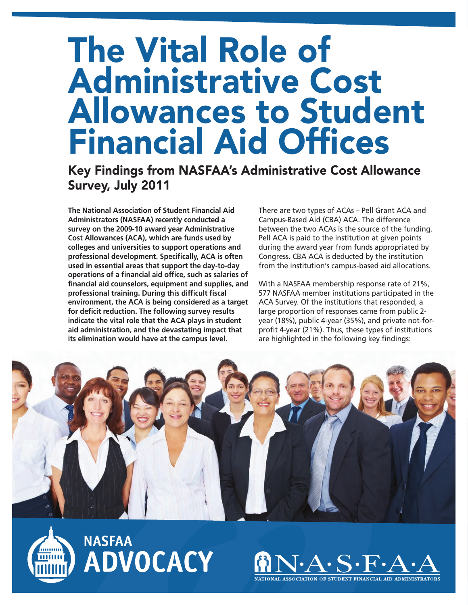## **The Vital Role of Administrative Cost Allowances to Student Financial Aid Offices**

## **Key Findings from NASFAA's Administrative Cost Allowance Survey, July 2011**

**The National Association of Student Financial Aid Administrators (NASFAA) recently conducted a survey on the 2009-10 award year Administrative Cost Allowances (ACA), which are funds used by colleges and universities to support operations and professional development. Specifically, ACA is often used in essential areas that support the day-to-day operations of a financial aid office, such as salaries of financial aid counselors, equipment and supplies, and professional training. During this difficult fiscal environment, the ACA is being considered as a target for deficit reduction. The following survey results indicate the vital role that the ACA plays in student aid administration, and the devastating impact that its elimination would have at the campus level.** 

There are two types of ACAs – Pell Grant ACA and Campus-Based Aid (CBA) ACA. The difference between the two ACAs is the source of the funding. Pell ACA is paid to the institution at given points during the award year from funds appropriated by Congress. CBA ACA is deducted by the institution from the institution's campus-based aid allocations.

With a NASFAA membership response rate of 21%, 577 NASFAA member institutions participated in the ACA Survey. Of the institutions that responded, a large proportion of responses came from public 2 year (18%), public 4-year (35%), and private not-forprofit 4-year (21%). Thus, these types of institutions are highlighted in the following key findings:





**NASFAA** ADVOCACY